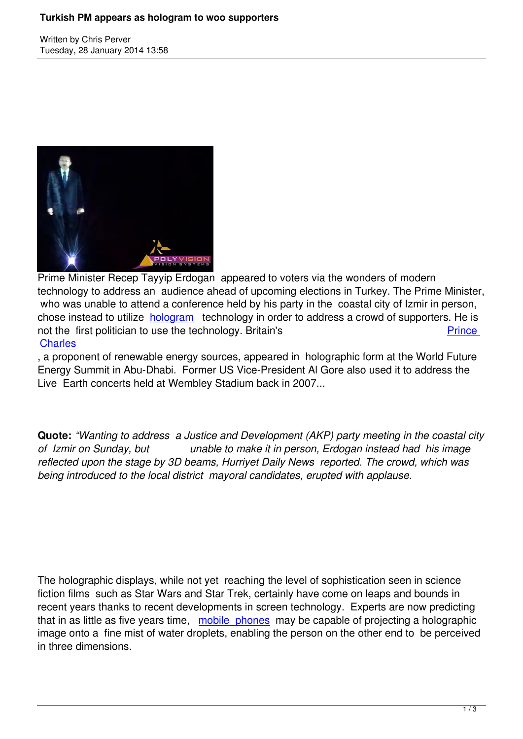Written by Christian by Christian by Christian by Christian by Christian by Christian by Chris Perus



Prime Minister Recep Tayyip Erdogan appeared to voters via the wonders of modern technology to address an audience ahead of upcoming elections in Turkey. The Prime Minister, who was unable to attend a conference held by his party in the coastal city of Izmir in person, chose instead to utilize hologram technology in order to address a crowd of supporters. He is not the first politician to use the technology. Britain's **Prince Charles** 

, a proponent of renewa[ble energy](http://www.timesofisrael.com/3d-erdogan-illuminates-turkey-election-meet/) sources, appeared in holographic form at the World Future Energy Summit in Abu-Dhabi. Former US Vice-President Al Gore also used it to addres[s the](https://www.prophecynews.co.uk/europe/596-prince-charles-hologram-to-appear-at-conference) [Live Ear](https://www.prophecynews.co.uk/europe/596-prince-charles-hologram-to-appear-at-conference)th concerts held at Wembley Stadium back in 2007...

**Quote:** *"Wanting to address a Justice and Development (AKP) party meeting in the coastal city of Izmir on Sunday, but unable to make it in person, Erdogan instead had his image reflected upon the stage by 3D beams, Hurriyet Daily News reported. The crowd, which was being introduced to the local district mayoral candidates, erupted with applause.*

The holographic displays, while not yet reaching the level of sophistication seen in science fiction films such as Star Wars and Star Trek, certainly have come on leaps and bounds in recent years thanks to recent developments in screen technology. Experts are now predicting that in as little as five years time, mobile phones may be capable of projecting a holographic image onto a fine mist of water droplets, enabling the person on the other end to be perceived in three dimensions.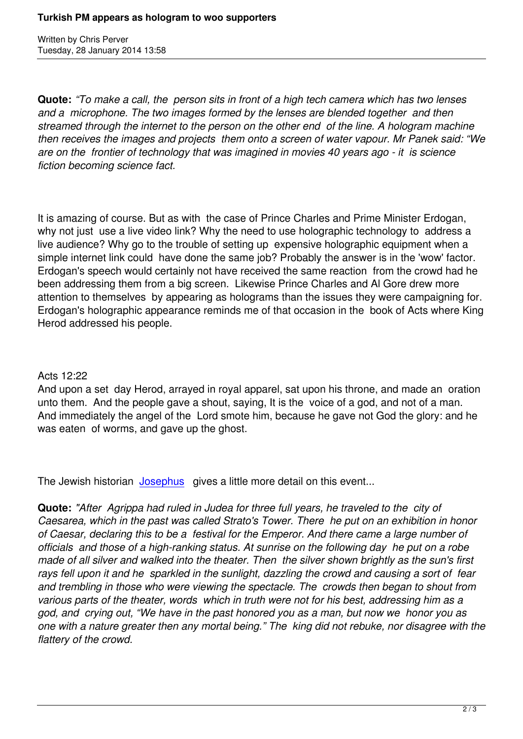Written by Christian by Christian by Christian by Christian by Christian by Christian by Chris Perus

**Quote:** *"To make a call, the person sits in front of a high tech camera which has two lenses and a microphone. The two images formed by the lenses are blended together and then streamed through the internet to the person on the other end of the line. A hologram machine then receives the images and projects them onto a screen of water vapour. Mr Panek said: "We are on the frontier of technology that was imagined in movies 40 years ago - it is science fiction becoming science fact.*

It is amazing of course. But as with the case of Prince Charles and Prime Minister Erdogan, why not just use a live video link? Why the need to use holographic technology to address a live audience? Why go to the trouble of setting up expensive holographic equipment when a simple internet link could have done the same job? Probably the answer is in the 'wow' factor. Erdogan's speech would certainly not have received the same reaction from the crowd had he been addressing them from a big screen. Likewise Prince Charles and Al Gore drew more attention to themselves by appearing as holograms than the issues they were campaigning for. Erdogan's holographic appearance reminds me of that occasion in the book of Acts where King Herod addressed his people.

## Acts 12:22

And upon a set day Herod, arrayed in royal apparel, sat upon his throne, and made an oration unto them. And the people gave a shout, saying, It is the voice of a god, and not of a man. And immediately the angel of the Lord smote him, because he gave not God the glory: and he was eaten of worms, and gave up the ghost.

The Jewish historian Josephus gives a little more detail on this event...

**Quote:** *"After Agrippa had ruled in Judea for three full years, he traveled to the city of Caesarea, which in th[e past was](http://www.biblehistory.net/newsletter/herod_agrippa.htm) called Strato's Tower. There he put on an exhibition in honor of Caesar, declaring this to be a festival for the Emperor. And there came a large number of officials and those of a high-ranking status. At sunrise on the following day he put on a robe made of all silver and walked into the theater. Then the silver shown brightly as the sun's first rays fell upon it and he sparkled in the sunlight, dazzling the crowd and causing a sort of fear and trembling in those who were viewing the spectacle. The crowds then began to shout from various parts of the theater, words which in truth were not for his best, addressing him as a god, and crying out, "We have in the past honored you as a man, but now we honor you as one with a nature greater then any mortal being." The king did not rebuke, nor disagree with the flattery of the crowd.*